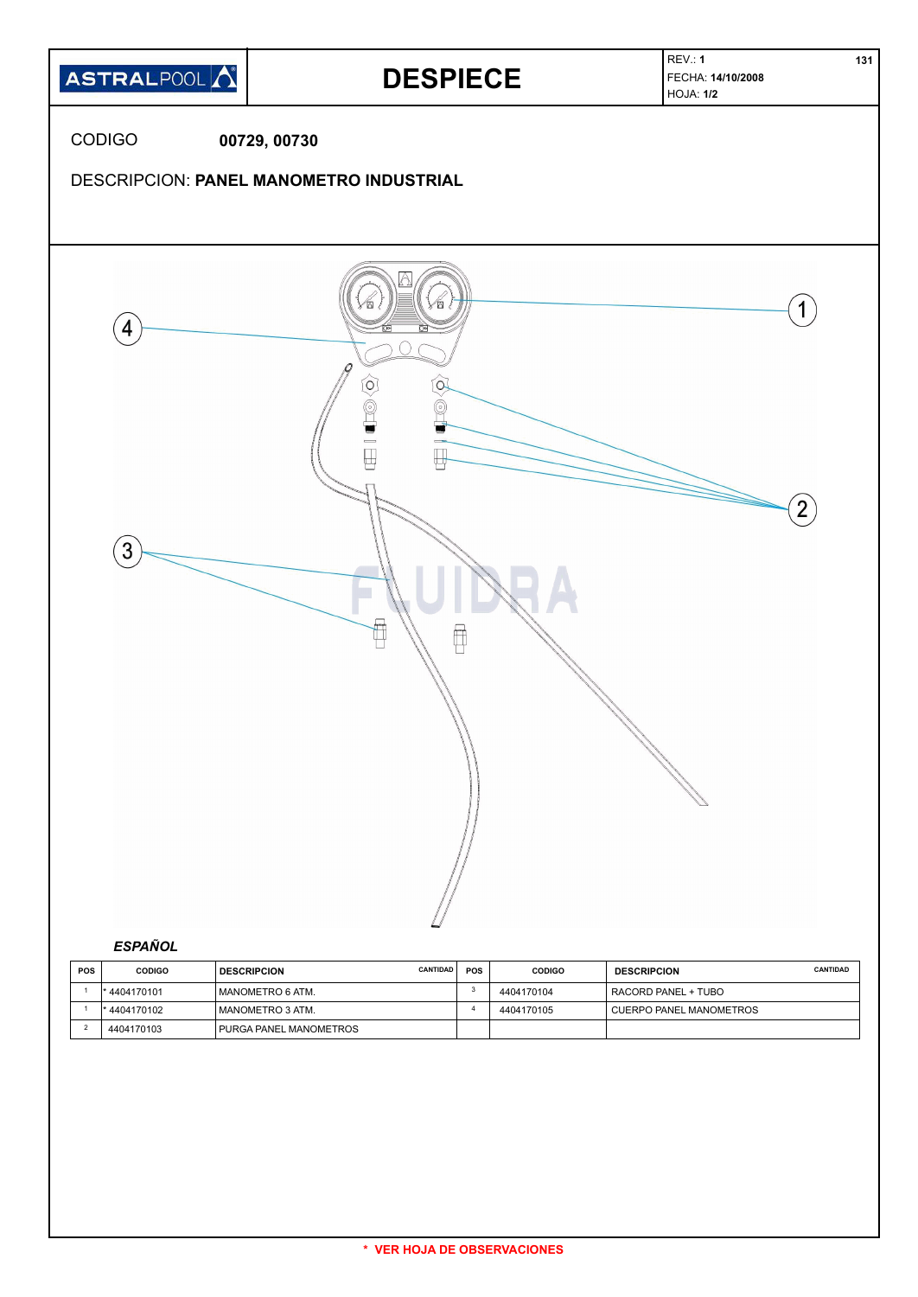

| <b>POS</b> | <b>CODIGO</b> | <b>CANTIDAD</b><br><b>DESCRIPCION</b> | <b>POS</b> | <b>CODIGO</b> | <b>DESCRIPCION</b>      | <b>CANTIDAD</b> |
|------------|---------------|---------------------------------------|------------|---------------|-------------------------|-----------------|
|            | 4404170101    | I MANOMETRO 6 ATM.                    |            | 4404170104    | RACORD PANEL + TUBO     |                 |
|            | * 4404170102  | I MANOMETRO 3 ATM.                    |            | 4404170105    | CUERPO PANEL MANOMETROS |                 |
|            | 4404170103    | PURGA PANEL MANOMETROS                |            |               |                         |                 |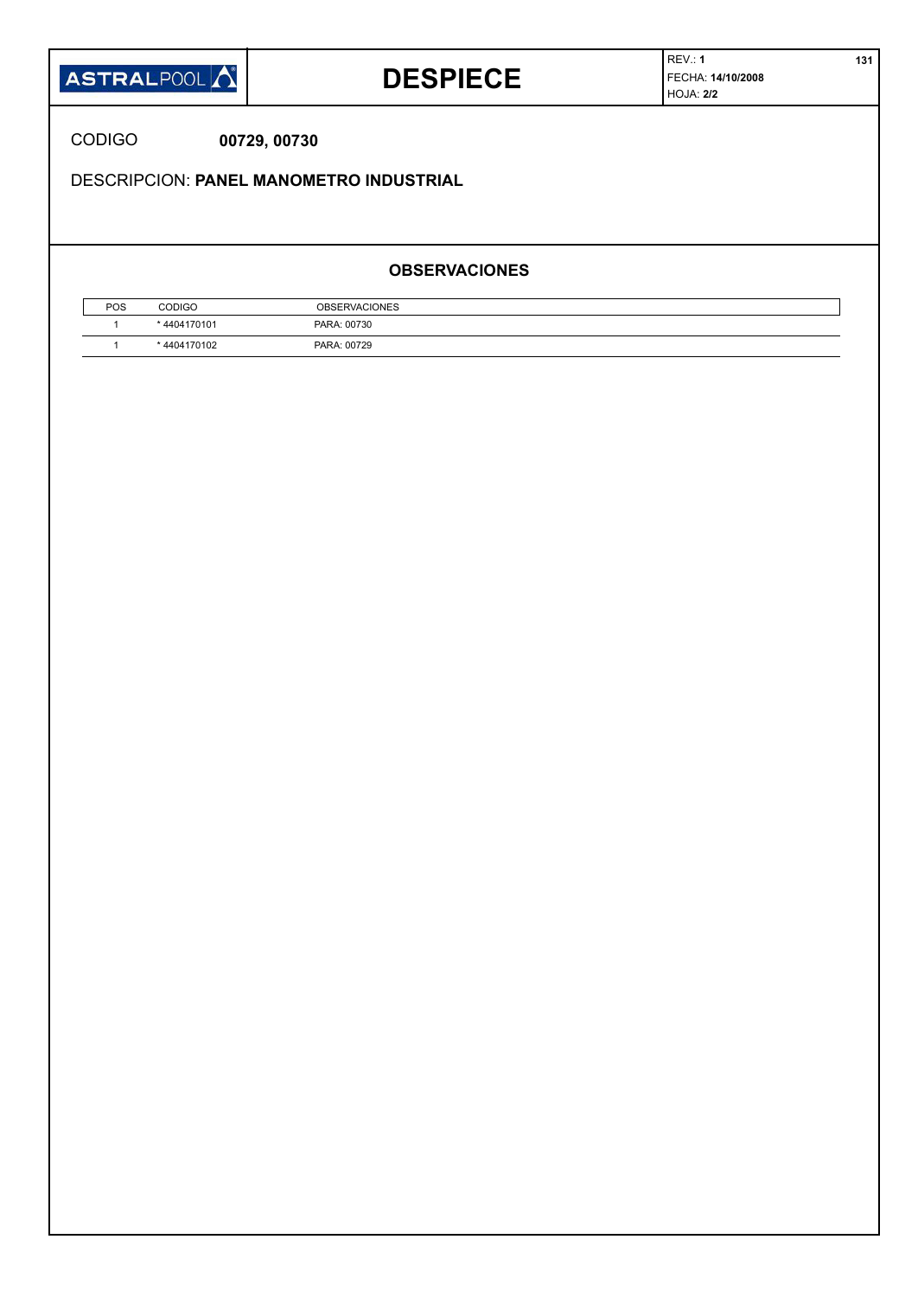

### **DESPIECE**

REV.: **1 131** FECHA: **14/10/2008** HOJA: **2/2**

CODIGO **00729, 00730**

DESCRIPCION: **PANEL MANOMETRO INDUSTRIAL**

### **OBSERVACIONES**

| POS | CODIGO     | <b>OBSERVACIONES</b> |  |
|-----|------------|----------------------|--|
|     | 4404170101 | PARA: 00730          |  |
|     | 4404170102 | PARA: 00729          |  |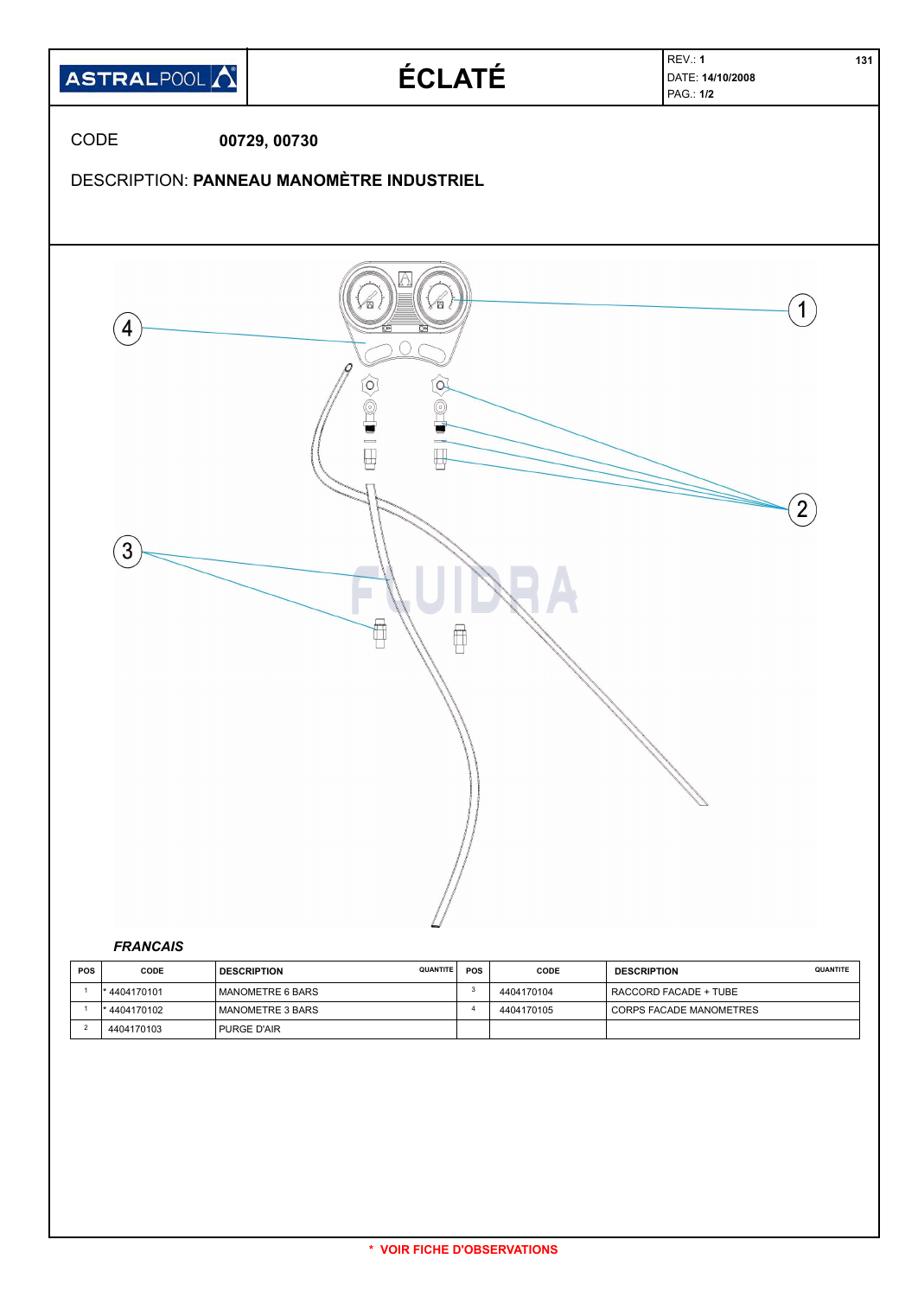

| <b>POS</b> | CODE         | <b>QUANTITE</b><br><b>DESCRIPTION</b> | <b>POS</b> | CODE       | <b>DESCRIPTION</b>      | QUANTITE |
|------------|--------------|---------------------------------------|------------|------------|-------------------------|----------|
|            | * 4404170101 | MANOMETRE 6 BARS                      |            | 4404170104 | RACCORD FACADE + TUBE   |          |
|            | * 4404170102 | I MANOMETRE 3 BARS                    |            | 4404170105 | CORPS FACADE MANOMETRES |          |
|            | 4404170103   | PURGE D'AIR                           |            |            |                         |          |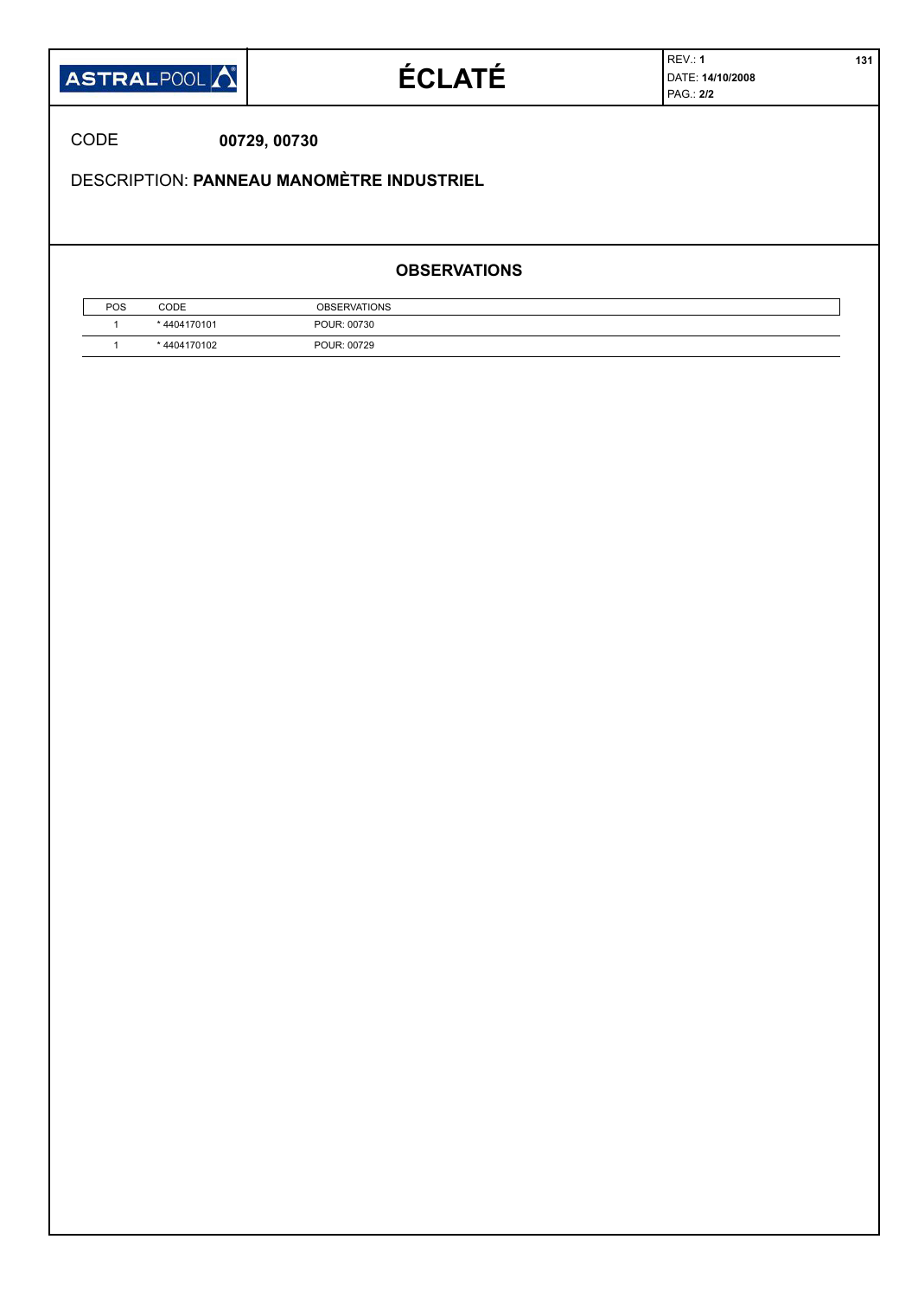| <b>ASTRALPOOL</b> |  |
|-------------------|--|
|-------------------|--|

# **ÉCLATÉ**

REV.: **1 131** DATE: **14/10/2008** PAG.: **2/2**

CODE **00729, 00730**

DESCRIPTION: **PANNEAU MANOMÈTRE INDUSTRIEL**

#### **OBSERVATIONS**

| <b>POS</b> | CODE       | <b>OBSERVATIONS</b> |  |
|------------|------------|---------------------|--|
|            | 4404170101 | POUR: 00730         |  |
|            | 4404170102 | POUR: 00729         |  |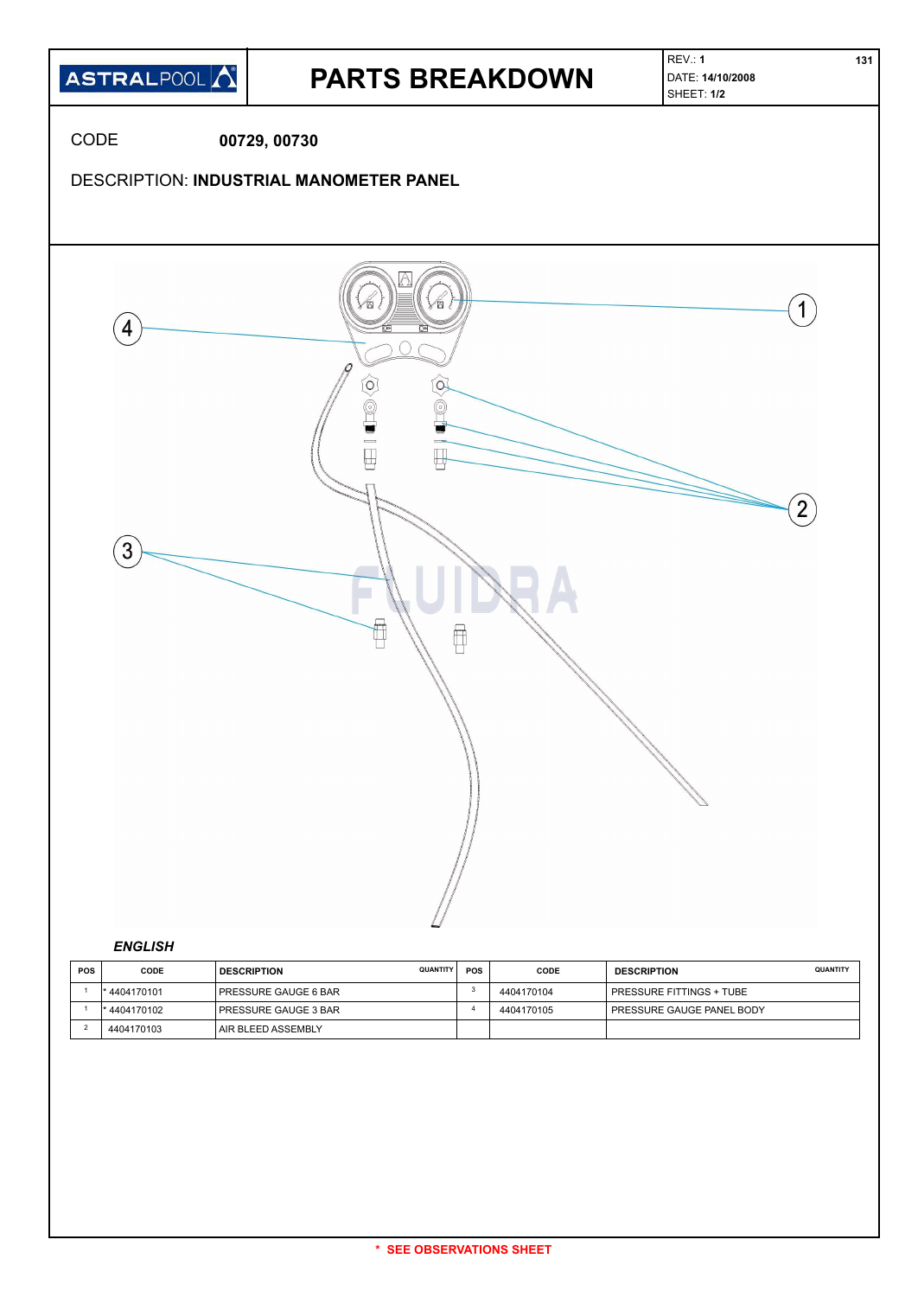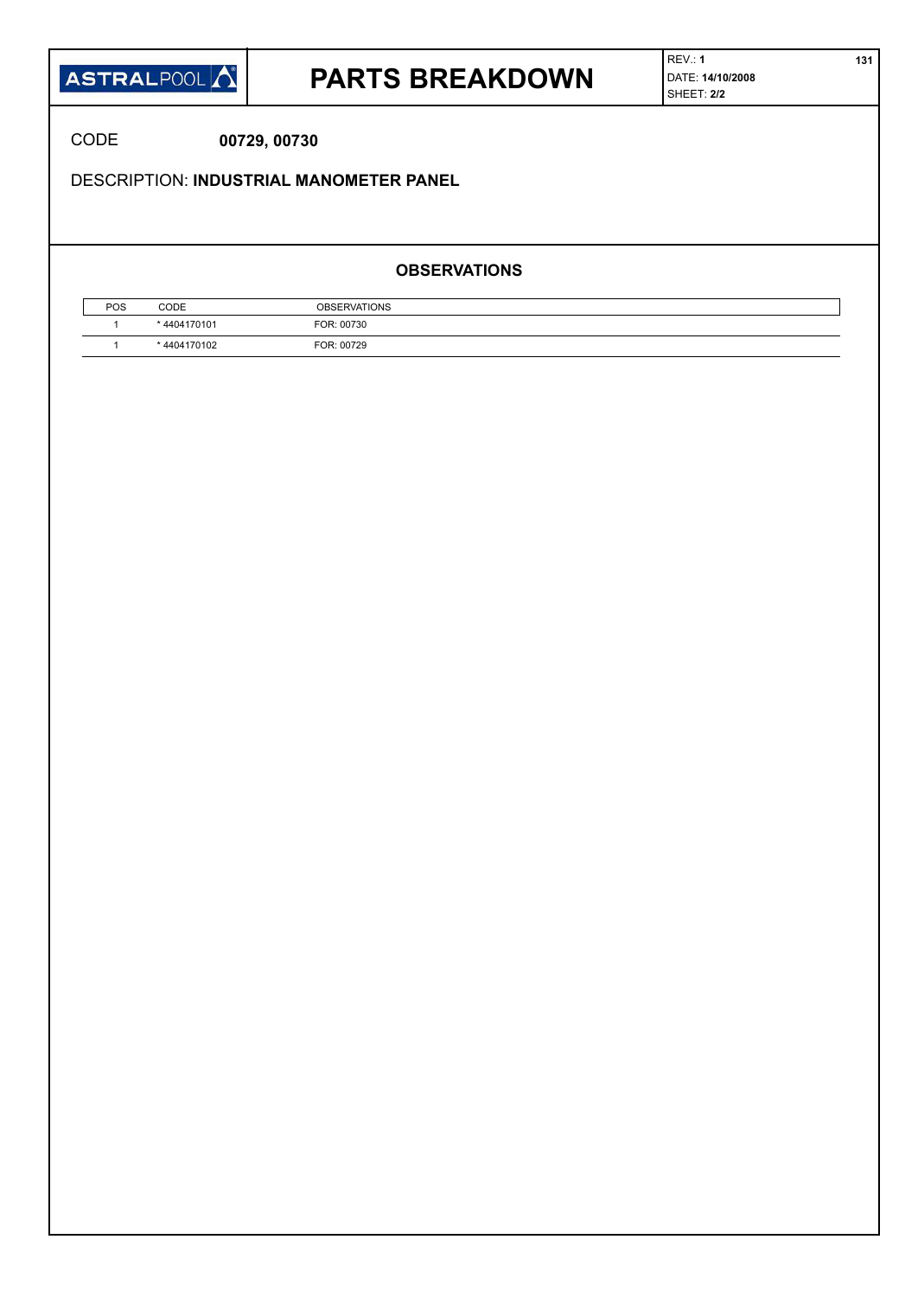

### **PARTS BREAKDOWN**

CODE **00729, 00730**

DESCRIPTION: **INDUSTRIAL MANOMETER PANEL**

#### **OBSERVATIONS**

| POS | CODE        | <b>OBSERVATIONS</b> |  |
|-----|-------------|---------------------|--|
|     | *4404170101 | FOR: 00730          |  |
|     | *4404170102 | FOR: 00729          |  |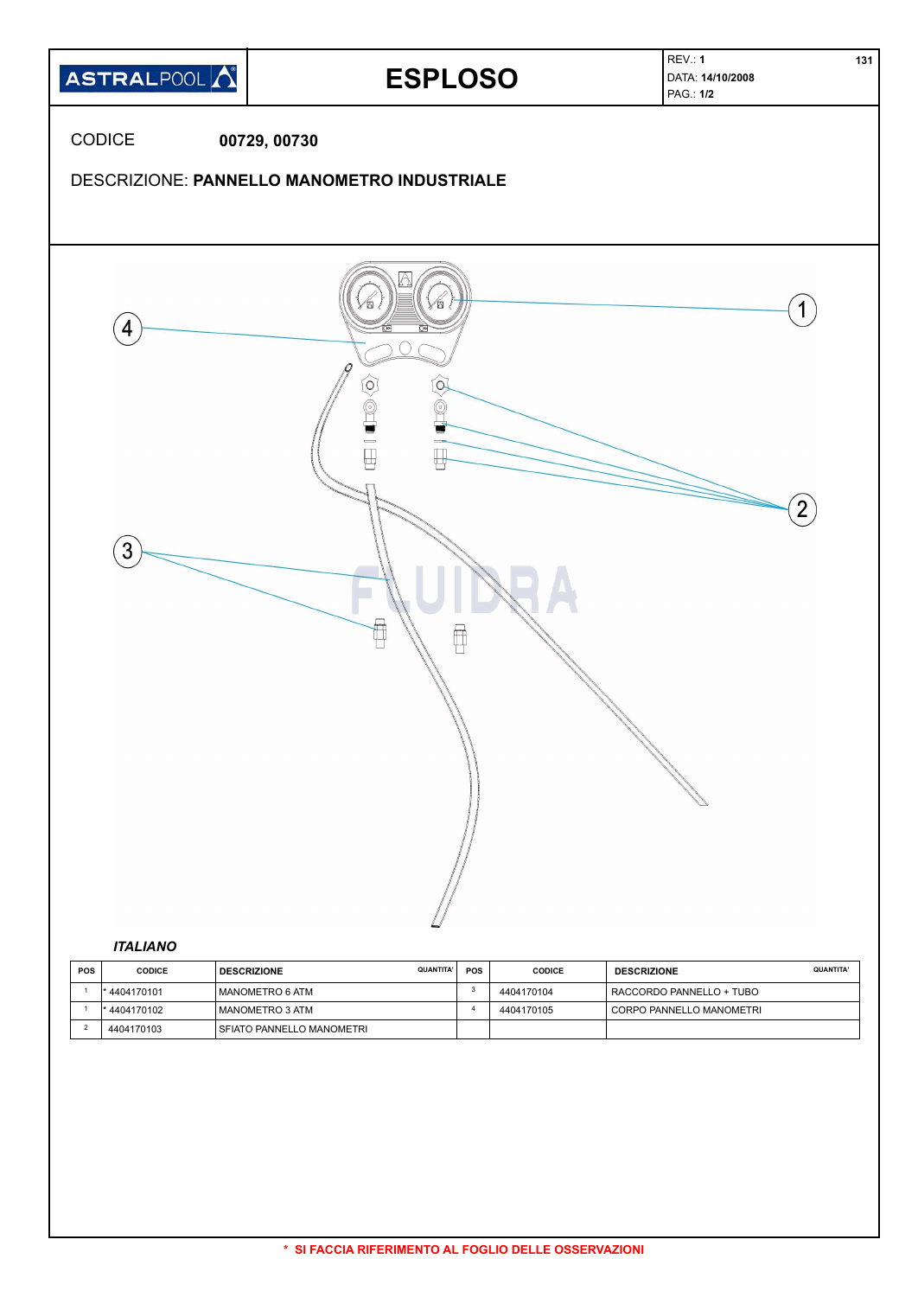

| <b>POS</b> | <b>CODICE</b> | <b>QUANTITA'</b><br><b>DESCRIZIONE</b> | <b>POS</b> | <b>CODICE</b> | <b>DESCRIZIONE</b>       | <b>QUANTITA'</b> |
|------------|---------------|----------------------------------------|------------|---------------|--------------------------|------------------|
|            | 4404170101    | MANOMETRO 6 ATM                        |            | 4404170104    | RACCORDO PANNELLO + TUBO |                  |
|            | * 4404170102  | l MANOMETRO 3 ATM                      |            | 4404170105    | CORPO PANNELLO MANOMETRI |                  |
|            | 4404170103    | I SFIATO PANNELLO MANOMETRI            |            |               |                          |                  |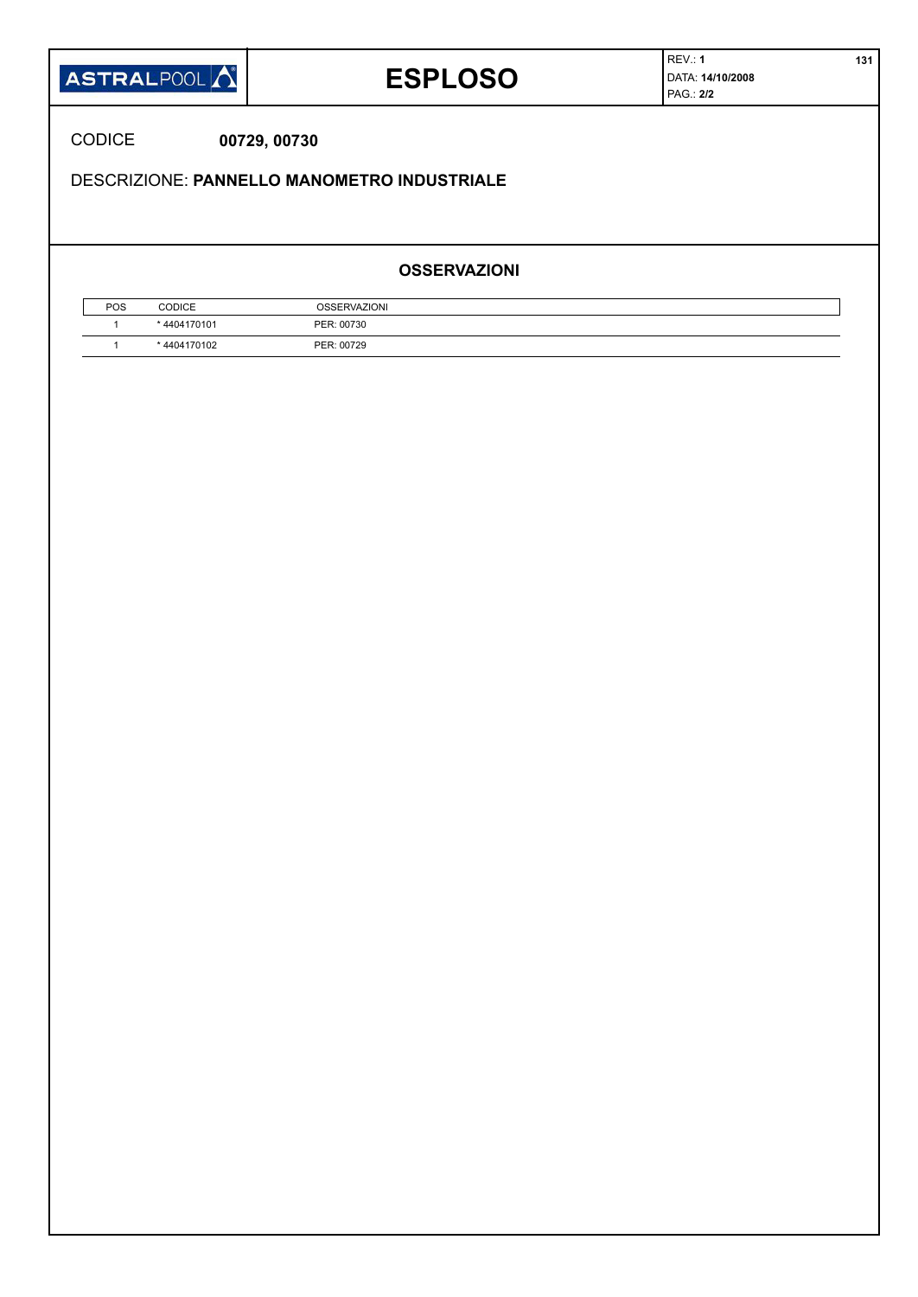| <b>ASTRALPOOL</b> |  |
|-------------------|--|
|-------------------|--|

## **ESPLOSO**

REV.: **1 131** DATA: **14/10/2008** PAG.: **2/2**

CODICE **00729, 00730**

DESCRIZIONE: **PANNELLO MANOMETRO INDUSTRIALE**

#### **OSSERVAZIONI**

| POS | <b>CODICE</b> | <b>OSSERVAZIONI</b> |
|-----|---------------|---------------------|
|     | *4404170101   | PER: 00730          |
|     | * 4404170102  | PER: 00729          |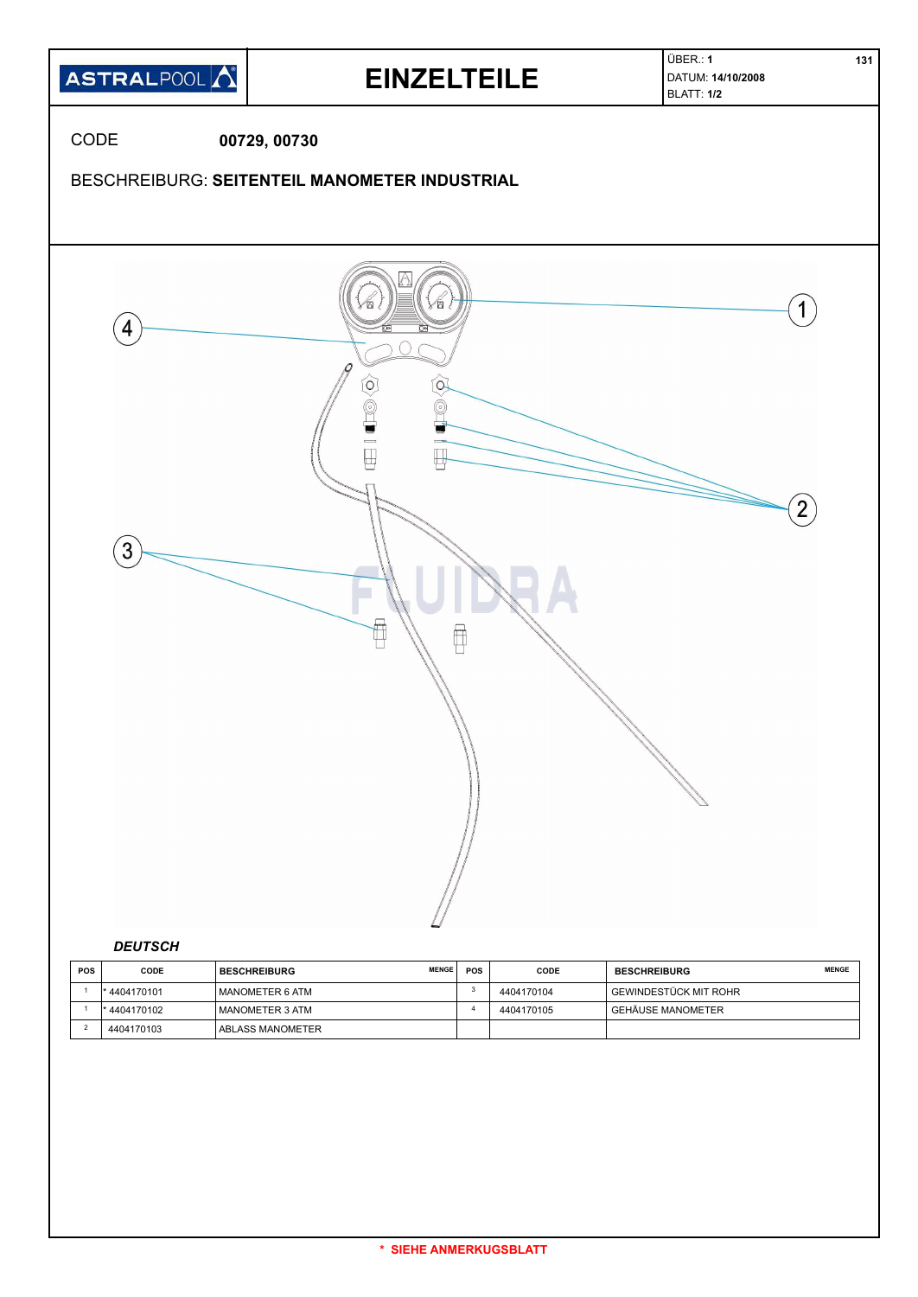

| <b>POS</b> | CODE         | <b>MENGE</b><br><b>BESCHREIBURG</b> | <b>POS</b> | CODE       | <b>BESCHREIBURG</b>      | <b>MENGE</b> |
|------------|--------------|-------------------------------------|------------|------------|--------------------------|--------------|
|            | *4404170101  | I MANOMETER 6 ATM                   |            | 4404170104 | İ GEWINDESTÜCK MIT ROHR- |              |
|            | * 4404170102 | I MANOMETER 3 ATM                   |            | 4404170105 | I GEHÄUSE MANOMETER      |              |
|            | 4404170103   | 'ABLASS MANOMETER                   |            |            |                          |              |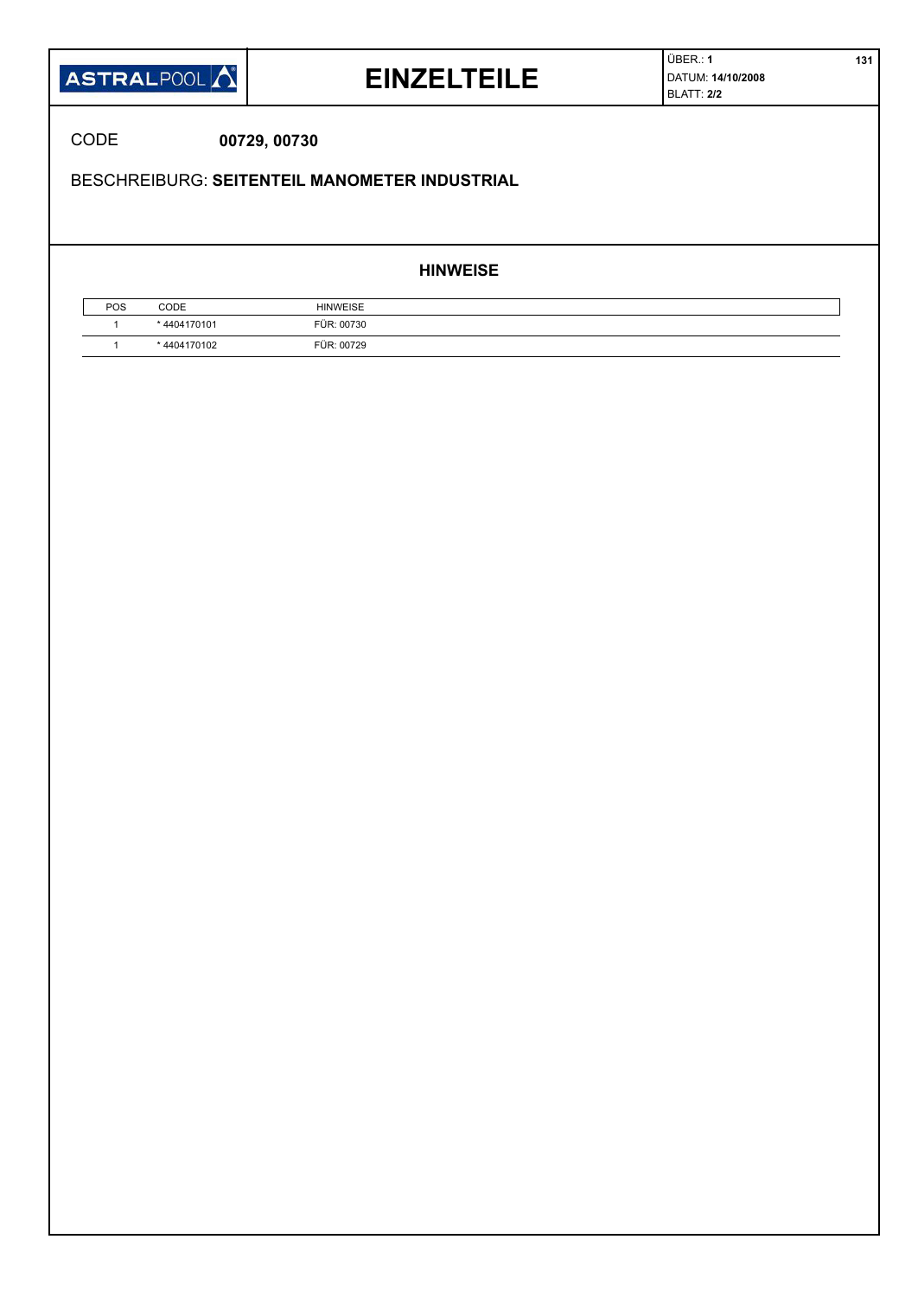

### **EINZELTEILE**

ÜBER.: **1 131** DATUM: **14/10/2008** BLATT: **2/2**

CODE **00729, 00730**

BESCHREIBURG: **SEITENTEIL MANOMETER INDUSTRIAL**

#### **HINWEISE**

| POS | CODE       | <b>HINWEISE</b> |  |
|-----|------------|-----------------|--|
|     | 4404170101 | FÜR: 00730      |  |
|     | 4404170102 | FÜR: 00729      |  |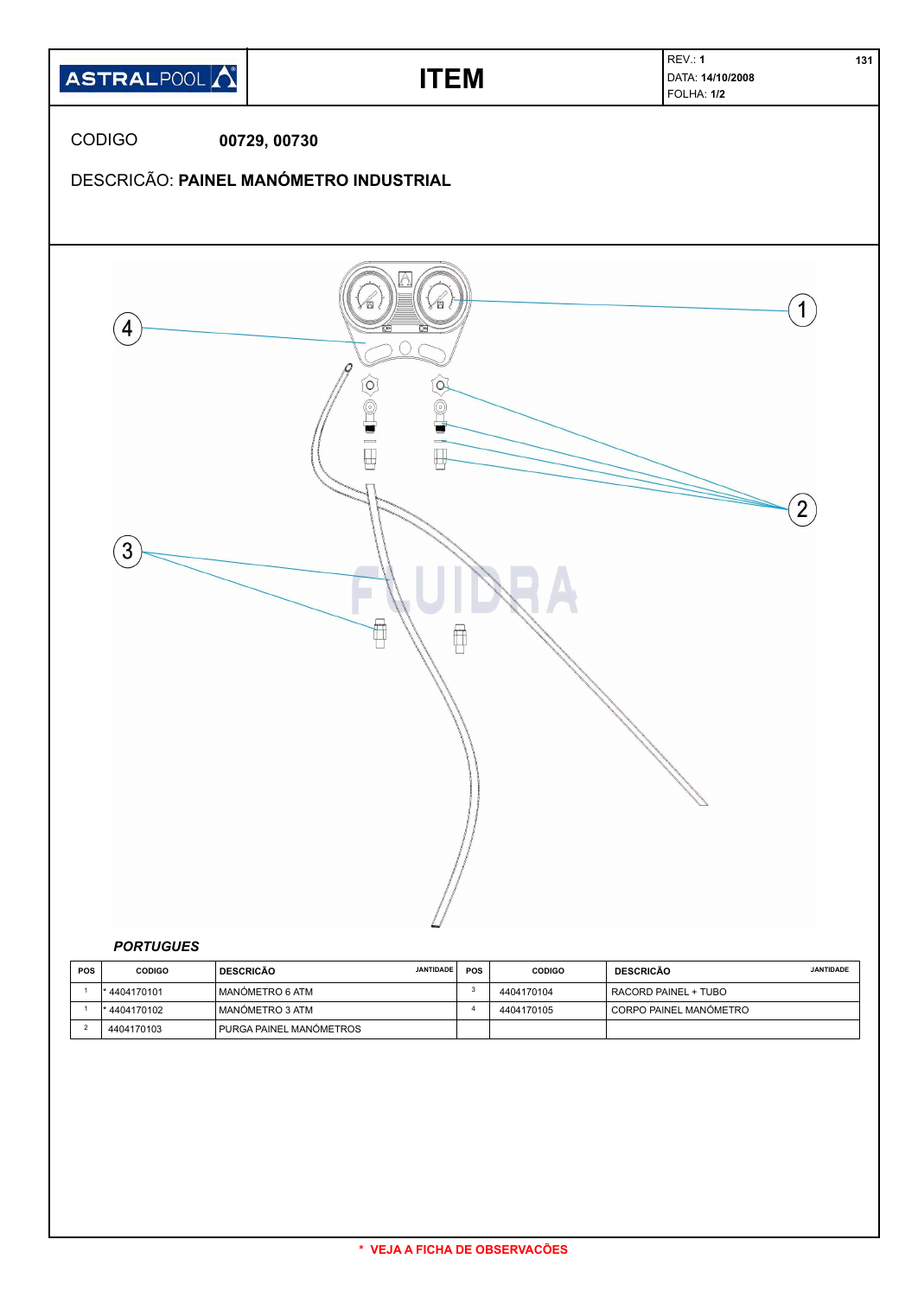